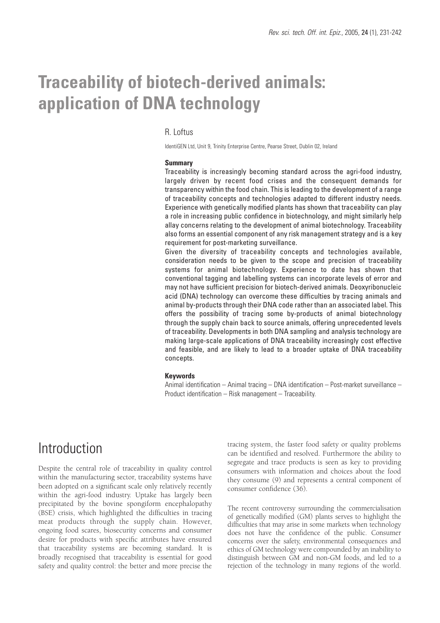# **Traceability of biotech-derived animals: application of DNA technology**

#### R. Loftus

IdentiGEN Ltd, Unit 9, Trinity Enterprise Centre, Pearse Street, Dublin 02, Ireland

#### **Summary**

Traceability is increasingly becoming standard across the agri-food industry, largely driven by recent food crises and the consequent demands for transparency within the food chain. This is leading to the development of a range of traceability concepts and technologies adapted to different industry needs. Experience with genetically modified plants has shown that traceability can play a role in increasing public confidence in biotechnology, and might similarly help allay concerns relating to the development of animal biotechnology. Traceability also forms an essential component of any risk management strategy and is a key requirement for post-marketing surveillance.

Given the diversity of traceability concepts and technologies available, consideration needs to be given to the scope and precision of traceability systems for animal biotechnology. Experience to date has shown that conventional tagging and labelling systems can incorporate levels of error and may not have sufficient precision for biotech-derived animals. Deoxyribonucleic acid (DNA) technology can overcome these difficulties by tracing animals and animal by-products through their DNA code rather than an associated label. This offers the possibility of tracing some by-products of animal biotechnology through the supply chain back to source animals, offering unprecedented levels of traceability. Developments in both DNA sampling and analysis technology are making large-scale applications of DNA traceability increasingly cost effective and feasible, and are likely to lead to a broader uptake of DNA traceability concepts.

#### **Keywords**

Animal identification – Animal tracing – DNA identification – Post-market surveillance – Product identification – Risk management – Traceability.

### **Introduction**

Despite the central role of traceability in quality control within the manufacturing sector, traceability systems have been adopted on a significant scale only relatively recently within the agri-food industry. Uptake has largely been precipitated by the bovine spongiform encephalopathy (BSE) crisis, which highlighted the difficulties in tracing meat products through the supply chain. However, ongoing food scares, biosecurity concerns and consumer desire for products with specific attributes have ensured that traceability systems are becoming standard. It is broadly recognised that traceability is essential for good safety and quality control: the better and more precise the tracing system, the faster food safety or quality problems can be identified and resolved. Furthermore the ability to segregate and trace products is seen as key to providing consumers with information and choices about the food they consume (9) and represents a central component of consumer confidence (36).

The recent controversy surrounding the commercialisation of genetically modified (GM) plants serves to highlight the difficulties that may arise in some markets when technology does not have the confidence of the public. Consumer concerns over the safety, environmental consequences and ethics of GM technology were compounded by an inability to distinguish between GM and non-GM foods, and led to a rejection of the technology in many regions of the world.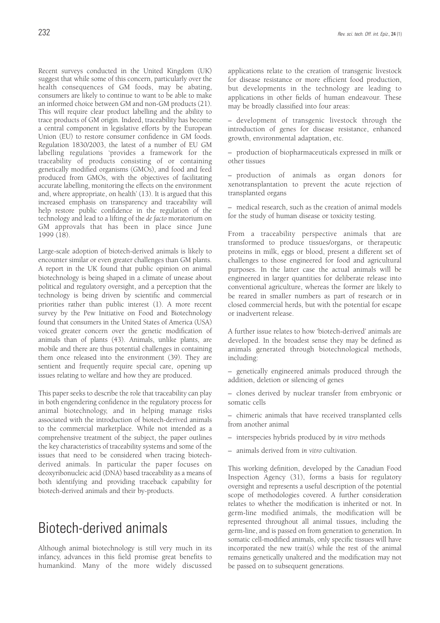Recent surveys conducted in the United Kingdom (UK) suggest that while some of this concern, particularly over the health consequences of GM foods, may be abating, consumers are likely to continue to want to be able to make an informed choice between GM and non-GM products (21). This will require clear product labelling and the ability to trace products of GM origin. Indeed, traceability has become a central component in legislative efforts by the European Union (EU) to restore consumer confidence in GM foods. Regulation 1830/2003, the latest of a number of EU GM labelling regulations 'provides a framework for the traceability of products consisting of or containing genetically modified organisms (GMOs), and food and feed produced from GMOs, with the objectives of facilitating accurate labelling, monitoring the effects on the environment and, where appropriate, on health' (13). It is argued that this increased emphasis on transparency and traceability will help restore public confidence in the regulation of the technology and lead to a lifting of the *de facto* moratorium on GM approvals that has been in place since June 1999 (18).

Large-scale adoption of biotech-derived animals is likely to encounter similar or even greater challenges than GM plants. A report in the UK found that public opinion on animal biotechnology is being shaped in a climate of unease about political and regulatory oversight, and a perception that the technology is being driven by scientific and commercial priorities rather than public interest (1). A more recent survey by the Pew Initiative on Food and Biotechnology found that consumers in the United States of America (USA) voiced greater concern over the genetic modification of animals than of plants (43). Animals, unlike plants, are mobile and there are thus potential challenges in containing them once released into the environment (39). They are sentient and frequently require special care, opening up issues relating to welfare and how they are produced.

This paper seeks to describe the role that traceability can play in both engendering confidence in the regulatory process for animal biotechnology, and in helping manage risks associated with the introduction of biotech-derived animals to the commercial marketplace. While not intended as a comprehensive treatment of the subject, the paper outlines the key characteristics of traceability systems and some of the issues that need to be considered when tracing biotechderived animals. In particular the paper focuses on deoxyribonucleic acid (DNA) based traceability as a means of both identifying and providing traceback capability for biotech-derived animals and their by-products.

## Biotech-derived animals

Although animal biotechnology is still very much in its infancy, advances in this field promise great benefits to humankind. Many of the more widely discussed applications relate to the creation of transgenic livestock for disease resistance or more efficient food production, but developments in the technology are leading to applications in other fields of human endeavour. These may be broadly classified into four areas:

– development of transgenic livestock through the introduction of genes for disease resistance, enhanced growth, environmental adaptation, etc.

– production of biopharmaceuticals expressed in milk or other tissues

– production of animals as organ donors for xenotransplantation to prevent the acute rejection of transplanted organs

– medical research, such as the creation of animal models for the study of human disease or toxicity testing.

From a traceability perspective animals that are transformed to produce tissues/organs, or therapeutic proteins in milk, eggs or blood, present a different set of challenges to those engineered for food and agricultural purposes. In the latter case the actual animals will be engineered in larger quantities for deliberate release into conventional agriculture, whereas the former are likely to be reared in smaller numbers as part of research or in closed commercial herds, but with the potential for escape or inadvertent release.

A further issue relates to how 'biotech-derived' animals are developed. In the broadest sense they may be defined as animals generated through biotechnological methods, including:

– genetically engineered animals produced through the addition, deletion or silencing of genes

– clones derived by nuclear transfer from embryonic or somatic cells

– chimeric animals that have received transplanted cells from another animal

- interspecies hybrids produced by *in vitro* methods
- animals derived from *in vitro* cultivation.

This working definition, developed by the Canadian Food Inspection Agency (31), forms a basis for regulatory oversight and represents a useful description of the potential scope of methodologies covered. A further consideration relates to whether the modification is inherited or not. In germ-line modified animals, the modification will be represented throughout all animal tissues, including the germ-line, and is passed on from generation to generation. In somatic cell-modified animals, only specific tissues will have incorporated the new trait(s) while the rest of the animal remains genetically unaltered and the modification may not be passed on to subsequent generations.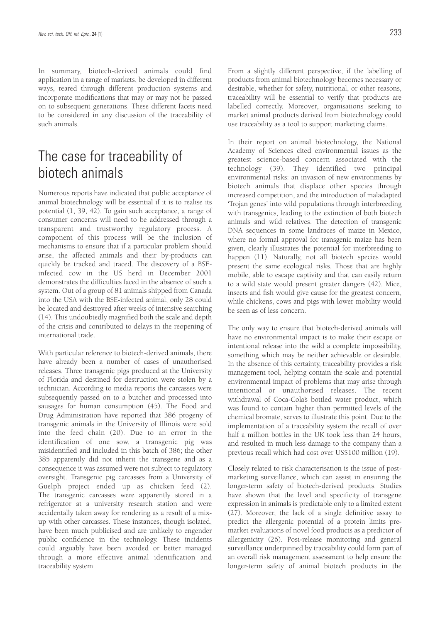In summary, biotech-derived animals could find application in a range of markets, be developed in different ways, reared through different production systems and incorporate modifications that may or may not be passed on to subsequent generations. These different facets need to be considered in any discussion of the traceability of such animals.

### The case for traceability of biotech animals

Numerous reports have indicated that public acceptance of animal biotechnology will be essential if it is to realise its potential (1, 39, 42). To gain such acceptance, a range of consumer concerns will need to be addressed through a transparent and trustworthy regulatory process. A component of this process will be the inclusion of mechanisms to ensure that if a particular problem should arise, the affected animals and their by-products can quickly be tracked and traced. The discovery of a BSEinfected cow in the US herd in December 2001 demonstrates the difficulties faced in the absence of such a system. Out of a group of 81 animals shipped from Canada into the USA with the BSE-infected animal, only 28 could be located and destroyed after weeks of intensive searching (14). This undoubtedly magnified both the scale and depth of the crisis and contributed to delays in the reopening of international trade.

With particular reference to biotech-derived animals, there have already been a number of cases of unauthorised releases. Three transgenic pigs produced at the University of Florida and destined for destruction were stolen by a technician. According to media reports the carcasses were subsequently passed on to a butcher and processed into sausages for human consumption (45). The Food and Drug Administration have reported that 386 progeny of transgenic animals in the University of Illinois were sold into the feed chain (20). Due to an error in the identification of one sow, a transgenic pig was misidentified and included in this batch of 386; the other 385 apparently did not inherit the transgene and as a consequence it was assumed were not subject to regulatory oversight. Transgenic pig carcasses from a University of Guelph project ended up as chicken feed (2). The transgenic carcasses were apparently stored in a refrigerator at a university research station and were accidentally taken away for rendering as a result of a mixup with other carcasses. These instances, though isolated, have been much publicised and are unlikely to engender public confidence in the technology. These incidents could arguably have been avoided or better managed through a more effective animal identification and traceability system.

From a slightly different perspective, if the labelling of products from animal biotechnology becomes necessary or desirable, whether for safety, nutritional, or other reasons, traceability will be essential to verify that products are labelled correctly. Moreover, organisations seeking to market animal products derived from biotechnology could use traceability as a tool to support marketing claims.

In their report on animal biotechnology, the National Academy of Sciences cited environmental issues as the greatest science-based concern associated with the technology (39). They identified two principal environmental risks: an invasion of new environments by biotech animals that displace other species through increased competition, and the introduction of maladapted 'Trojan genes' into wild populations through interbreeding with transgenics, leading to the extinction of both biotech animals and wild relatives. The detection of transgenic DNA sequences in some landraces of maize in Mexico, where no formal approval for transgenic maize has been given, clearly illustrates the potential for interbreeding to happen (11). Naturally, not all biotech species would present the same ecological risks. Those that are highly mobile, able to escape captivity and that can easily return to a wild state would present greater dangers (42). Mice, insects and fish would give cause for the greatest concern, while chickens, cows and pigs with lower mobility would be seen as of less concern.

The only way to ensure that biotech-derived animals will have no environmental impact is to make their escape or intentional release into the wild a complete impossibility, something which may be neither achievable or desirable. In the absence of this certainty, traceability provides a risk management tool, helping contain the scale and potential environmental impact of problems that may arise through intentional or unauthorised releases. The recent withdrawal of Coca-Cola's bottled water product, which was found to contain higher than permitted levels of the chemical bromate, serves to illustrate this point. Due to the implementation of a traceability system the recall of over half a million bottles in the UK took less than 24 hours, and resulted in much less damage to the company than a previous recall which had cost over US\$100 million (19).

Closely related to risk characterisation is the issue of postmarketing surveillance, which can assist in ensuring the longer-term safety of biotech-derived products. Studies have shown that the level and specificity of transgene expression in animals is predictable only to a limited extent (27). Moreover, the lack of a single definitive assay to predict the allergenic potential of a protein limits premarket evaluations of novel food products as a predictor of allergenicity (26). Post-release monitoring and general surveillance underpinned by traceability could form part of an overall risk management assessment to help ensure the longer-term safety of animal biotech products in the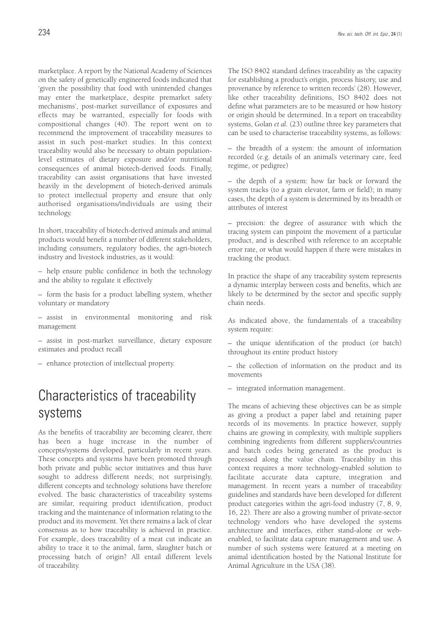marketplace. A report by the National Academy of Sciences on the safety of genetically engineered foods indicated that 'given the possibility that food with unintended changes may enter the marketplace, despite premarket safety mechanisms', post-market surveillance of exposures and effects may be warranted, especially for foods with compositional changes (40). The report went on to recommend the improvement of traceability measures to assist in such post-market studies. In this context traceability would also be necessary to obtain populationlevel estimates of dietary exposure and/or nutritional consequences of animal biotech-derived foods. Finally, traceability can assist organisations that have invested heavily in the development of biotech-derived animals to protect intellectual property and ensure that only authorised organisations/individuals are using their technology.

In short, traceability of biotech-derived animals and animal products would benefit a number of different stakeholders, including consumers, regulatory bodies, the agri-biotech industry and livestock industries, as it would:

– help ensure public confidence in both the technology and the ability to regulate it effectively

– form the basis for a product labelling system, whether voluntary or mandatory

– assist in environmental monitoring and risk management

– assist in post-market surveillance, dietary exposure estimates and product recall

– enhance protection of intellectual property.

# Characteristics of traceability systems

As the benefits of traceability are becoming clearer, there has been a huge increase in the number of concepts/systems developed, particularly in recent years. These concepts and systems have been promoted through both private and public sector initiatives and thus have sought to address different needs; not surprisingly, different concepts and technology solutions have therefore evolved. The basic characteristics of traceability systems are similar, requiring product identification, product tracking and the maintenance of information relating to the product and its movement. Yet there remains a lack of clear consensus as to how traceability is achieved in practice. For example, does traceability of a meat cut indicate an ability to trace it to the animal, farm, slaughter batch or processing batch of origin? All entail different levels of traceability.

The ISO 8402 standard defines traceability as 'the capacity for establishing a product's origin, process history, use and provenance by reference to written records' (28). However, like other traceability definitions, ISO 8402 does not define what parameters are to be measured or how history or origin should be determined. In a report on traceability systems, Golan *et al*. (23) outline three key parameters that can be used to characterise traceability systems, as follows:

– the breadth of a system: the amount of information recorded (e.g. details of an animal's veterinary care, feed regime, or pedigree)

– the depth of a system: how far back or forward the system tracks (to a grain elevator, farm or field); in many cases, the depth of a system is determined by its breadth or attributes of interest

– precision: the degree of assurance with which the tracing system can pinpoint the movement of a particular product, and is described with reference to an acceptable error rate, or what would happen if there were mistakes in tracking the product.

In practice the shape of any traceability system represents a dynamic interplay between costs and benefits, which are likely to be determined by the sector and specific supply chain needs.

As indicated above, the fundamentals of a traceability system require:

– the unique identification of the product (or batch) throughout its entire product history

– the collection of information on the product and its movements

– integrated information management.

The means of achieving these objectives can be as simple as giving a product a paper label and retaining paper records of its movements. In practice however, supply chains are growing in complexity, with multiple suppliers combining ingredients from different suppliers/countries and batch codes being generated as the product is processed along the value chain. Traceability in this context requires a more technology-enabled solution to facilitate accurate data capture, integration and management. In recent years a number of traceability guidelines and standards have been developed for different product categories within the agri-food industry (7, 8, 9, 16, 22). There are also a growing number of private-sector technology vendors who have developed the systems architecture and interfaces, either stand-alone or webenabled, to facilitate data capture management and use. A number of such systems were featured at a meeting on animal identification hosted by the National Institute for Animal Agriculture in the USA (38).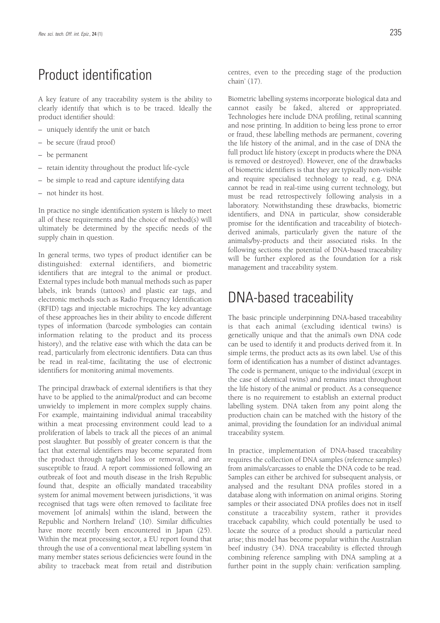## Product identification

A key feature of any traceability system is the ability to clearly identify that which is to be traced. Ideally the product identifier should:

- uniquely identify the unit or batch
- be secure (fraud proof)
- be permanent
- retain identity throughout the product life-cycle
- be simple to read and capture identifying data
- not hinder its host.

In practice no single identification system is likely to meet all of these requirements and the choice of method(s) will ultimately be determined by the specific needs of the supply chain in question.

In general terms, two types of product identifier can be distinguished: external identifiers, and biometric identifiers that are integral to the animal or product. External types include both manual methods such as paper labels, ink brands (tattoos) and plastic ear tags, and electronic methods such as Radio Frequency Identification (RFID) tags and injectable microchips. The key advantage of these approaches lies in their ability to encode different types of information (barcode symbologies can contain information relating to the product and its process history), and the relative ease with which the data can be read, particularly from electronic identifiers. Data can thus be read in real-time, facilitating the use of electronic identifiers for monitoring animal movements.

The principal drawback of external identifiers is that they have to be applied to the animal/product and can become unwieldy to implement in more complex supply chains. For example, maintaining individual animal traceability within a meat processing environment could lead to a proliferation of labels to track all the pieces of an animal post slaughter. But possibly of greater concern is that the fact that external identifiers may become separated from the product through tag/label loss or removal, and are susceptible to fraud. A report commissioned following an outbreak of foot and mouth disease in the Irish Republic found that, despite an officially mandated traceability system for animal movement between jurisdictions, 'it was recognised that tags were often removed to facilitate free movement [of animals] within the island, between the Republic and Northern Ireland' (10). Similar difficulties have more recently been encountered in Japan (25). Within the meat processing sector, a EU report found that through the use of a conventional meat labelling system 'in many member states serious deficiencies were found in the ability to traceback meat from retail and distribution centres, even to the preceding stage of the production chain' (17).

Biometric labelling systems incorporate biological data and cannot easily be faked, altered or appropriated. Technologies here include DNA profiling, retinal scanning and nose printing. In addition to being less prone to error or fraud, these labelling methods are permanent, covering the life history of the animal, and in the case of DNA the full product life history (except in products where the DNA is removed or destroyed). However, one of the drawbacks of biometric identifiers is that they are typically non-visible and require specialised technology to read, e.g. DNA cannot be read in real-time using current technology, but must be read retrospectively following analysis in a laboratory. Notwithstanding these drawbacks, biometric identifiers, and DNA in particular, show considerable promise for the identification and traceability of biotechderived animals, particularly given the nature of the animals/by-products and their associated risks. In the following sections the potential of DNA-based traceability will be further explored as the foundation for a risk management and traceability system.

### DNA-based traceability

The basic principle underpinning DNA-based traceability is that each animal (excluding identical twins) is genetically unique and that the animal's own DNA code can be used to identify it and products derived from it. In simple terms, the product acts as its own label. Use of this form of identification has a number of distinct advantages. The code is permanent, unique to the individual (except in the case of identical twins) and remains intact throughout the life history of the animal or product. As a consequence there is no requirement to establish an external product labelling system. DNA taken from any point along the production chain can be matched with the history of the animal, providing the foundation for an individual animal traceability system.

In practice, implementation of DNA-based traceability requires the collection of DNA samples (reference samples) from animals/carcasses to enable the DNA code to be read. Samples can either be archived for subsequent analysis, or analysed and the resultant DNA profiles stored in a database along with information on animal origins. Storing samples or their associated DNA profiles does not in itself constitute a traceability system, rather it provides traceback capability, which could potentially be used to locate the source of a product should a particular need arise; this model has become popular within the Australian beef industry (34). DNA traceability is effected through combining reference sampling with DNA sampling at a further point in the supply chain: verification sampling.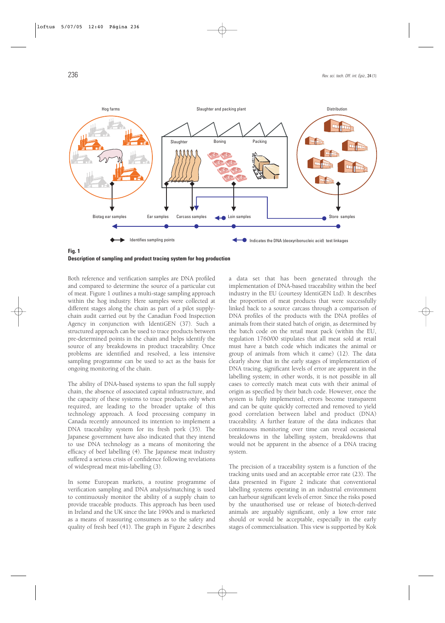

**Fig. 1 Description of sampling and product tracing system for hog production**

Both reference and verification samples are DNA profiled and compared to determine the source of a particular cut of meat. Figure 1 outlines a multi-stage sampling approach within the hog industry. Here samples were collected at different stages along the chain as part of a pilot supplychain audit carried out by the Canadian Food Inspection Agency in conjunction with IdentiGEN (37). Such a structured approach can be used to trace products between pre-determined points in the chain and helps identify the source of any breakdowns in product traceability. Once problems are identified and resolved, a less intensive sampling programme can be used to act as the basis for ongoing monitoring of the chain.

The ability of DNA-based systems to span the full supply chain, the absence of associated capital infrastructure, and the capacity of these systems to trace products only when required, are leading to the broader uptake of this technology approach. A food processing company in Canada recently announced its intention to implement a DNA traceability system for its fresh pork (35). The Japanese government have also indicated that they intend to use DNA technology as a means of monitoring the efficacy of beef labelling (4). The Japanese meat industry suffered a serious crisis of confidence following revelations of widespread meat mis-labelling (3).

In some European markets, a routine programme of verification sampling and DNA analysis/matching is used to continuously monitor the ability of a supply chain to provide traceable products. This approach has been used in Ireland and the UK since the late 1990s and is marketed as a means of reassuring consumers as to the safety and quality of fresh beef (41). The graph in Figure 2 describes

a data set that has been generated through the implementation of DNA-based traceability within the beef industry in the EU (courtesy IdentiGEN Ltd). It describes the proportion of meat products that were successfully linked back to a source carcass through a comparison of DNA profiles of the products with the DNA profiles of animals from their stated batch of origin, as determined by the batch code on the retail meat pack (within the EU, regulation 1760/00 stipulates that all meat sold at retail must have a batch code which indicates the animal or group of animals from which it came) (12). The data clearly show that in the early stages of implementation of DNA tracing, significant levels of error are apparent in the labelling system; in other words, it is not possible in all cases to correctly match meat cuts with their animal of origin as specified by their batch code. However, once the system is fully implemented, errors become transparent and can be quite quickly corrected and removed to yield good correlation between label and product (DNA) traceability. A further feature of the data indicates that continuous monitoring over time can reveal occasional breakdowns in the labelling system, breakdowns that would not be apparent in the absence of a DNA tracing system.

The precision of a traceability system is a function of the tracking units used and an acceptable error rate (23). The data presented in Figure 2 indicate that conventional labelling systems operating in an industrial environment can harbour significant levels of error. Since the risks posed by the unauthorised use or release of biotech-derived animals are arguably significant, only a low error rate should or would be acceptable, especially in the early stages of commercialisation. This view is supported by Kok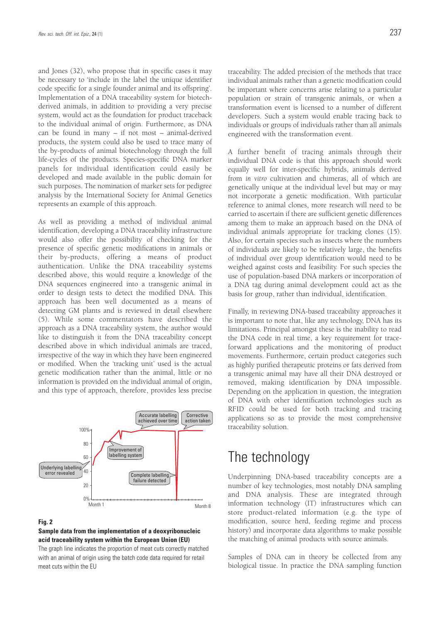and Jones (32), who propose that in specific cases it may be necessary to 'include in the label the unique identifier code specific for a single founder animal and its offspring'. Implementation of a DNA traceability system for biotechderived animals, in addition to providing a very precise system, would act as the foundation for product traceback to the individual animal of origin. Furthermore, as DNA can be found in many – if not most – animal-derived products, the system could also be used to trace many of the by-products of animal biotechnology through the full life-cycles of the products. Species-specific DNA marker panels for individual identification could easily be developed and made available in the public domain for such purposes. The nomination of marker sets for pedigree analysis by the International Society for Animal Genetics represents an example of this approach.

As well as providing a method of individual animal identification, developing a DNA traceability infrastructure would also offer the possibility of checking for the presence of specific genetic modifications in animals or their by-products, offering a means of product authentication. Unlike the DNA traceability systems described above, this would require a knowledge of the DNA sequences engineered into a transgenic animal in order to design tests to detect the modified DNA. This approach has been well documented as a means of detecting GM plants and is reviewed in detail elsewhere (5). While some commentators have described the approach as a DNA traceability system, the author would like to distinguish it from the DNA traceability concept described above in which individual animals are traced, irrespective of the way in which they have been engineered or modified. When the 'tracking unit' used is the actual genetic modification rather than the animal, little or no information is provided on the individual animal of origin, and this type of approach, therefore, provides less precise



#### **Fig. 2**

#### **Sample data from the implementation of a deoxyribonucleic acid traceability system within the European Union (EU)**

The graph line indicates the proportion of meat cuts correctly matched with an animal of origin using the batch code data required for retail meat cuts within the EU

traceability. The added precision of the methods that trace individual animals rather than a genetic modification could be important where concerns arise relating to a particular population or strain of transgenic animals, or when a transformation event is licensed to a number of different developers. Such a system would enable tracing back to individuals or groups of individuals rather than all animals engineered with the transformation event.

A further benefit of tracing animals through their individual DNA code is that this approach should work equally well for inter-specific hybrids, animals derived from *in vitro* cultivation and chimeras, all of which are genetically unique at the individual level but may or may not incorporate a genetic modification. With particular reference to animal clones, more research will need to be carried to ascertain if there are sufficient genetic differences among them to make an approach based on the DNA of individual animals appropriate for tracking clones (15). Also, for certain species such as insects where the numbers of individuals are likely to be relatively large, the benefits of individual over group identification would need to be weighed against costs and feasibility. For such species the use of population-based DNA markers or incorporation of a DNA tag during animal development could act as the basis for group, rather than individual, identification.

Finally, in reviewing DNA-based traceability approaches it is important to note that, like any technology, DNA has its limitations. Principal amongst these is the inability to read the DNA code in real time, a key requirement for traceforward applications and the monitoring of product movements. Furthermore, certain product categories such as highly purified therapeutic proteins or fats derived from a transgenic animal may have all their DNA destroyed or removed, making identification by DNA impossible. Depending on the application in question, the integration of DNA with other identification technologies such as RFID could be used for both tracking and tracing applications so as to provide the most comprehensive traceability solution.

### The technology

Underpinning DNA-based traceability concepts are a number of key technologies, most notably DNA sampling and DNA analysis. These are integrated through information technology (IT) infrastructures which can store product-related information (e.g. the type of modification, source herd, feeding regime and process history) and incorporate data algorithms to make possible the matching of animal products with source animals.

Samples of DNA can in theory be collected from any biological tissue. In practice the DNA sampling function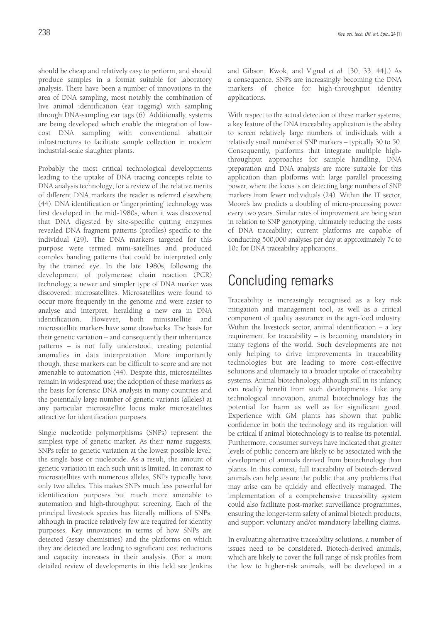should be cheap and relatively easy to perform, and should produce samples in a format suitable for laboratory analysis. There have been a number of innovations in the area of DNA sampling, most notably the combination of live animal identification (ear tagging) with sampling through DNA-sampling ear tags (6). Additionally, systems are being developed which enable the integration of lowcost DNA sampling with conventional abattoir infrastructures to facilitate sample collection in modern industrial-scale slaughter plants.

Probably the most critical technological developments leading to the uptake of DNA tracing concepts relate to DNA analysis technology; for a review of the relative merits of different DNA markers the reader is referred elsewhere (44). DNA identification or 'fingerprinting' technology was first developed in the mid-1980s, when it was discovered that DNA digested by site-specific cutting enzymes revealed DNA fragment patterns (profiles) specific to the individual (29). The DNA markers targeted for this purpose were termed mini-satellites and produced complex banding patterns that could be interpreted only by the trained eye. In the late 1980s, following the development of polymerase chain reaction (PCR) technology, a newer and simpler type of DNA marker was discovered: microsatellites. Microsatellites were found to occur more frequently in the genome and were easier to analyse and interpret, heralding a new era in DNA identification. However, both minisatellite and microsatellite markers have some drawbacks. The basis for their genetic variation – and consequently their inheritance patterns – is not fully understood, creating potential anomalies in data interpretation. More importantly though, these markers can be difficult to score and are not amenable to automation (44). Despite this, microsatellites remain in widespread use; the adoption of these markers as the basis for forensic DNA analysis in many countries and the potentially large number of genetic variants (alleles) at any particular microsatellite locus make microsatellites attractive for identification purposes.

Single nucleotide polymorphisms (SNPs) represent the simplest type of genetic marker. As their name suggests, SNPs refer to genetic variation at the lowest possible level: the single base or nucleotide. As a result, the amount of genetic variation in each such unit is limited. In contrast to microsatellites with numerous alleles, SNPs typically have only two alleles. This makes SNPs much less powerful for identification purposes but much more amenable to automation and high-throughput screening. Each of the principal livestock species has literally millions of SNPs, although in practice relatively few are required for identity purposes. Key innovations in terms of how SNPs are detected (assay chemistries) and the platforms on which they are detected are leading to significant cost reductions and capacity increases in their analysis. (For a more detailed review of developments in this field see Jenkins

and Gibson, Kwok, and Vignal *et al.* [30, 33, 44].) As a consequence, SNPs are increasingly becoming the DNA markers of choice for high-throughput identity applications.

With respect to the actual detection of these marker systems, a key feature of the DNA traceability application is the ability to screen relatively large numbers of individuals with a relatively small number of SNP markers – typically 30 to 50. Consequently, platforms that integrate multiple highthroughput approaches for sample handling, DNA preparation and DNA analysis are more suitable for this application than platforms with large parallel processing power, where the focus is on detecting large numbers of SNP markers from fewer individuals (24). Within the IT sector, Moore's law predicts a doubling of micro-processing power every two years. Similar rates of improvement are being seen in relation to SNP genotyping, ultimately reducing the costs of DNA traceability; current platforms are capable of conducting 500,000 analyses per day at approximately 7c to 10c for DNA traceability applications.

# Concluding remarks

Traceability is increasingly recognised as a key risk mitigation and management tool, as well as a critical component of quality assurance in the agri-food industry. Within the livestock sector, animal identification – a key requirement for traceability – is becoming mandatory in many regions of the world. Such developments are not only helping to drive improvements in traceability technologies but are leading to more cost-effective solutions and ultimately to a broader uptake of traceability systems. Animal biotechnology, although still in its infancy, can readily benefit from such developments. Like any technological innovation, animal biotechnology has the potential for harm as well as for significant good. Experience with GM plants has shown that public confidence in both the technology and its regulation will be critical if animal biotechnology is to realise its potential. Furthermore, consumer surveys have indicated that greater levels of public concern are likely to be associated with the development of animals derived from biotechnology than plants. In this context, full traceability of biotech-derived animals can help assure the public that any problems that may arise can be quickly and effectively managed. The implementation of a comprehensive traceability system could also facilitate post-market surveillance programmes, ensuring the longer-term safety of animal biotech products, and support voluntary and/or mandatory labelling claims.

In evaluating alternative traceability solutions, a number of issues need to be considered. Biotech-derived animals, which are likely to cover the full range of risk profiles from the low to higher-risk animals, will be developed in a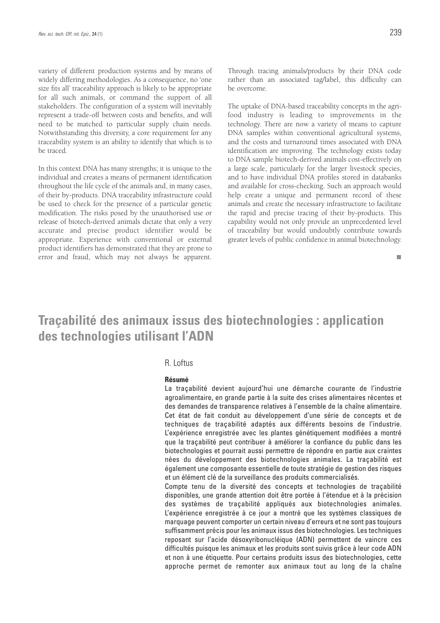variety of different production systems and by means of widely differing methodologies. As a consequence, no 'one size fits all' traceability approach is likely to be appropriate for all such animals, or command the support of all stakeholders. The configuration of a system will inevitably represent a trade-off between costs and benefits, and will need to be matched to particular supply chain needs. Notwithstanding this diversity, a core requirement for any traceability system is an ability to identify that which is to be traced.

In this context DNA has many strengths; it is unique to the individual and creates a means of permanent identification throughout the life cycle of the animals and, in many cases, of their by-products. DNA traceability infrastructure could be used to check for the presence of a particular genetic modification. The risks posed by the unauthorised use or release of biotech-derived animals dictate that only a very accurate and precise product identifier would be appropriate. Experience with conventional or external product identifiers has demonstrated that they are prone to error and fraud, which may not always be apparent. Through tracing animals/products by their DNA code rather than an associated tag/label, this difficulty can be overcome.

The uptake of DNA-based traceability concepts in the agrifood industry is leading to improvements in the technology. There are now a variety of means to capture DNA samples within conventional agricultural systems, and the costs and turnaround times associated with DNA identification are improving. The technology exists today to DNA sample biotech-derived animals cost-effectively on a large scale, particularly for the larger livestock species, and to have individual DNA profiles stored in databanks and available for cross-checking. Such an approach would help create a unique and permanent record of these animals and create the necessary infrastructure to facilitate the rapid and precise tracing of their by-products. This capability would not only provide an unprecedented level of traceability but would undoubtly contribute towards greater levels of public confidence in animal biotechnology.

ш

### **Traçabilité des animaux issus des biotechnologies : application des technologies utilisant l'ADN**

#### R. Loftus

#### **Résumé**

La traçabilité devient aujourd'hui une démarche courante de l'industrie agroalimentaire, en grande partie à la suite des crises alimentaires récentes et des demandes de transparence relatives à l'ensemble de la chaîne alimentaire. Cet état de fait conduit au développement d'une série de concepts et de techniques de traçabilité adaptés aux différents besoins de l'industrie. L'expérience enregistrée avec les plantes génétiquement modifiées a montré que la traçabilité peut contribuer à améliorer la confiance du public dans les biotechnologies et pourrait aussi permettre de répondre en partie aux craintes nées du développement des biotechnologies animales. La traçabilité est également une composante essentielle de toute stratégie de gestion des risques et un élément clé de la surveillance des produits commercialisés.

Compte tenu de la diversité des concepts et technologies de traçabilité disponibles, une grande attention doit être portée à l'étendue et à la précision des systèmes de traçabilité appliqués aux biotechnologies animales. L'expérience enregistrée à ce jour a montré que les systèmes classiques de marquage peuvent comporter un certain niveau d'erreurs et ne sont pas toujours suffisamment précis pour les animaux issus des biotechnologies. Les techniques reposant sur l'acide désoxyribonucléique (ADN) permettent de vaincre ces difficultés puisque les animaux et les produits sont suivis grâce à leur code ADN et non à une étiquette. Pour certains produits issus des biotechnologies, cette approche permet de remonter aux animaux tout au long de la chaîne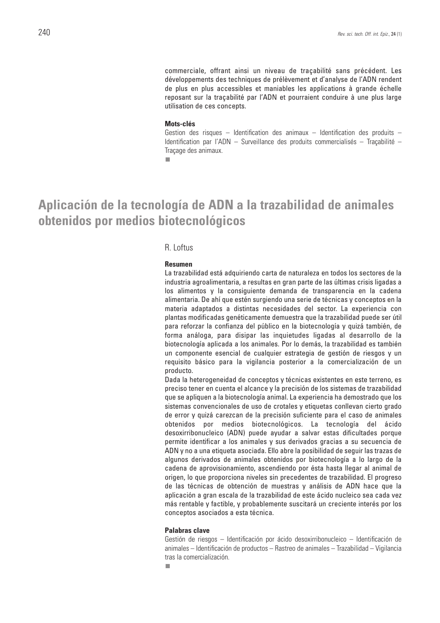commerciale, offrant ainsi un niveau de traçabilité sans précédent. Les développements des techniques de prélèvement et d'analyse de l'ADN rendent de plus en plus accessibles et maniables les applications à grande échelle reposant sur la traçabilité par l'ADN et pourraient conduire à une plus large utilisation de ces concepts.

#### **Mots-clés**

Gestion des risques – Identification des animaux – Identification des produits – Identification par l'ADN – Surveillance des produits commercialisés – Traçabilité – Traçage des animaux.

 $\overline{\phantom{a}}$ 

### **Aplicación de la tecnología de ADN a la trazabilidad de animales obtenidos por medios biotecnológicos**

#### R. Loftus

#### **Resumen**

La trazabilidad está adquiriendo carta de naturaleza en todos los sectores de la industria agroalimentaria, a resultas en gran parte de las últimas crisis ligadas a los alimentos y la consiguiente demanda de transparencia en la cadena alimentaria. De ahí que estén surgiendo una serie de técnicas y conceptos en la materia adaptados a distintas necesidades del sector. La experiencia con plantas modificadas genéticamente demuestra que la trazabilidad puede ser útil para reforzar la confianza del público en la biotecnología y quizá también, de forma análoga, para disipar las inquietudes ligadas al desarrollo de la biotecnología aplicada a los animales. Por lo demás, la trazabilidad es también un componente esencial de cualquier estrategia de gestión de riesgos y un requisito básico para la vigilancia posterior a la comercialización de un producto.

Dada la heterogeneidad de conceptos y técnicas existentes en este terreno, es preciso tener en cuenta el alcance y la precisión de los sistemas de trazabilidad que se apliquen a la biotecnología animal. La experiencia ha demostrado que los sistemas convencionales de uso de crotales y etiquetas conllevan cierto grado de error y quizá carezcan de la precisión suficiente para el caso de animales obtenidos por medios biotecnológicos. La tecnología del ácido desoxirribonucleico (ADN) puede ayudar a salvar estas dificultades porque permite identificar a los animales y sus derivados gracias a su secuencia de ADN y no a una etiqueta asociada. Ello abre la posibilidad de seguir las trazas de algunos derivados de animales obtenidos por biotecnología a lo largo de la cadena de aprovisionamiento, ascendiendo por ésta hasta llegar al animal de origen, lo que proporciona niveles sin precedentes de trazabilidad. El progreso de las técnicas de obtención de muestras y análisis de ADN hace que la aplicación a gran escala de la trazabilidad de este ácido nucleico sea cada vez más rentable y factible, y probablemente suscitará un creciente interés por los conceptos asociados a esta técnica.

#### **Palabras clave**

Gestión de riesgos – Identificación por ácido desoxirribonucleico – Identificación de animales – Identificación de productos – Rastreo de animales – Trazabilidad – Vigilancia tras la comercialización.

п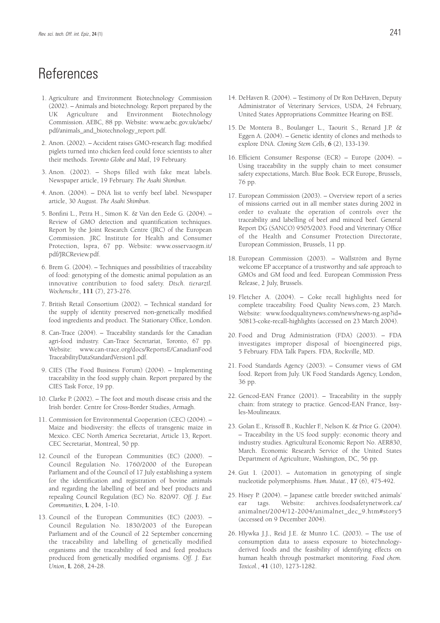### References

- 1. Agriculture and Environment Biotechnology Commission (2002). – Animals and biotechnology. Report prepared by the Agriculture and Environment Biotechnology Commission. AEBC, 88 pp. Website: www.aebc.gov.uk/aebc/ pdf/animals\_and\_biotechnology\_report.pdf.
- 2. Anon. (2002). Accident raises GMO-research flag: modified piglets turned into chicken feed could force scientists to alter their methods. *Toronto Globe and Mail*, 19 February.
- 3. Anon. (2002). Shops filled with fake meat labels. Newspaper article, 19 February. *The Asahi Shimbun*.
- 4. Anon. (2004). DNA list to verify beef label. Newspaper article, 30 August. *The Asahi Shimbun*.
- 5. Bonfini L., Petra H., Simon K. & Van den Eede G. (2004). Review of GMO detection and quantification techniques. Report by the Joint Research Centre (JRC) of the European Commission. JRC Institute for Health and Consumer Protection, Ispra, 67 pp. Website: www.osservaogm.it/ pdf/JRCReview.pdf.
- 6. Brem G. (2004). Techniques and possibilities of traceability of food: genotyping of the domestic animal population as an innovative contribution to food safety. *Dtsch. tierarztl. Wochenschr.*, **111** (7), 273-276.
- 7. British Retail Consortium (2002). Technical standard for the supply of identity preserved non-genetically modified food ingredients and product. The Stationary Office, London.
- 8. Can-Trace (2004). Traceability standards for the Canadian agri-food industry. Can-Trace Secretariat, Toronto, 67 pp. Website: www.can-trace.org/docs/ReportsE/CanadianFood TraceabilityDataStandardVersion1.pdf.
- 9. CIES (The Food Business Forum) (2004). Implementing traceability in the food supply chain. Report prepared by the CIES Task Force, 19 pp.
- 10. Clarke P. (2002). The foot and mouth disease crisis and the Irish border. Centre for Cross-Border Studies, Armagh.
- 11. Commission for Environmental Cooperation (CEC) (2004). Maize and biodiversity: the effects of transgenic maize in Mexico. CEC North America Secretariat, Article 13, Report. CEC Secretariat, Montreal, 50 pp.
- 12. Council of the European Communities (EC) (2000). Council Regulation No. 1760/2000 of the European Parliament and of the Council of 17 July establishing a system for the identification and registration of bovine animals and regarding the labelling of beef and beef products and repealing Council Regulation (EC) No. 820/97. *Off. J. Eur. Communities*, **L** 204, 1-10.
- 13. Council of the European Communities (EC) (2003). Council Regulation No. 1830/2003 of the European Parliament and of the Council of 22 September concerning the traceability and labelling of genetically modified organisms and the traceability of food and feed products produced from genetically modified organisms. *Off. J. Eur. Union*, **L** 268, 24-28.
- 14. DeHaven R. (2004). Testimony of Dr Ron DeHaven, Deputy Administrator of Veterinary Services, USDA, 24 February, United States Appropriations Committee Hearing on BSE.
- 15. De Montera B., Boulanger L., Taourit S., Renard J.P. & Eggen A. (2004). – Genetic identity of clones and methods to explore DNA. *Cloning Stem Cells*, **6** (2), 133-139.
- 16. Efficient Consumer Response (ECR) Europe (2004). Using traceability in the supply chain to meet consumer safety expectations, March. Blue Book. ECR Europe, Brussels, 76 pp.
- 17. European Commission (2003). Overview report of a series of missions carried out in all member states during 2002 in order to evaluate the operation of controls over the traceability and labelling of beef and minced beef. General Report DG (SANCO) 9505/2003. Food and Veterinary Office of the Health and Consumer Protection Directorate, European Commission, Brussels, 11 pp.
- 18. European Commission (2003). Wallström and Byrne welcome EP acceptance of a trustworthy and safe approach to GMOs and GM food and feed. European Commission Press Release, 2 July, Brussels.
- 19. Fletcher A. (2004). Coke recall highlights need for complete traceability. Food Quality News.com, 23 March. Website: www.foodqualitynews.com/news/news-ng.asp?id= 50813-coke-recall-highlights (accessed on 23 March 2004).
- 20. Food and Drug Administration (FDA) (2003). FDA investigates improper disposal of bioengineered pigs, 5 February. FDA Talk Papers. FDA, Rockville, MD.
- 21. Food Standards Agency (2003). Consumer views of GM food. Report from July. UK Food Standards Agency, London, 36 pp.
- 22. Gencod-EAN France (2001). Traceability in the supply chain: from strategy to practice. Gencod-EAN France, Issyles-Moulineaux.
- 23. Golan E., Krissoff B., Kuchler F., Nelson K. & Price G. (2004). – Traceability in the US food supply: economic theory and industry studies. Agricultural Economic Report No. AER830, March. Economic Research Service of the United States Department of Agriculture, Washington, DC, 56 pp.
- 24. Gut I. (2001). Automation in genotyping of single nucleotide polymorphisms. *Hum. Mutat.*, **17** (6), 475-492.
- 25. Hisey P. (2004). Japanese cattle breeder switched animals' ear tags. Website: archives.foodsafetynetwork.ca/ animalnet/2004/12-2004/animalnet\_dec\_9.htm#story5 (accessed on 9 December 2004).
- 26. Hlywka J.J., Reid J.E. & Munro I.C. (2003). The use of consumption data to assess exposure to biotechnologyderived foods and the feasibility of identifying effects on human health through postmarket monitoring. *Food chem. Toxicol.*, **41** (10), 1273-1282.